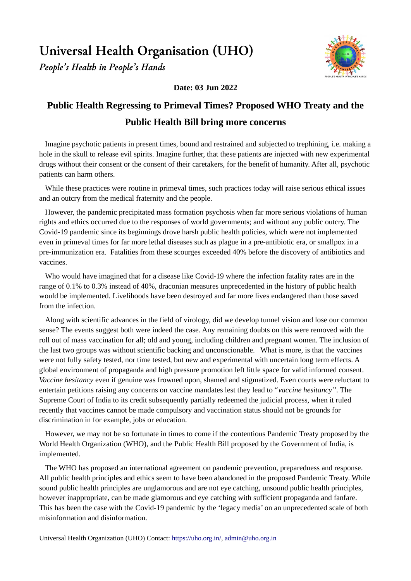**Universal Health Organisation (UHO)**

*People's Health in People's Hands*



**Date: 03 Jun 2022**

## **Public Health Regressing to Primeval Times? Proposed WHO Treaty and the Public Health Bill bring more concerns**

Imagine psychotic patients in present times, bound and restrained and subjected to trephining, i.e. making a hole in the skull to release evil spirits. Imagine further, that these patients are injected with new experimental drugs without their consent or the consent of their caretakers, for the benefit of humanity. After all, psychotic patients can harm others.

While these practices were routine in primeval times, such practices today will raise serious ethical issues and an outcry from the medical fraternity and the people.

However, the pandemic precipitated mass formation psychosis when far more serious violations of human rights and ethics occurred due to the responses of world governments; and without any public outcry. The Covid-19 pandemic since its beginnings drove harsh public health policies, which were not implemented even in primeval times for far more lethal diseases such as plague in a pre-antibiotic era, or smallpox in a pre-immunization era. Fatalities from these scourges exceeded 40% before the discovery of antibiotics and vaccines.

Who would have imagined that for a disease like Covid-19 where the infection fatality rates are in the range of 0.1% to 0.3% instead of 40%, draconian measures unprecedented in the history of public health would be implemented. Livelihoods have been destroyed and far more lives endangered than those saved from the infection.

Along with scientific advances in the field of virology, did we develop tunnel vision and lose our common sense? The events suggest both were indeed the case. Any remaining doubts on this were removed with the roll out of mass vaccination for all; old and young, including children and pregnant women. The inclusion of the last two groups was without scientific backing and unconscionable. What is more, is that the vaccines were not fully safety tested, nor time tested, but new and experimental with uncertain long term effects. A global environment of propaganda and high pressure promotion left little space for valid informed consent*. Vaccine hesitancy* even if genuine was frowned upon, shamed and stigmatized. Even courts were reluctant to entertain petitions raising any concerns on vaccine mandates lest they lead to "*vaccine hesitancy"*. The Supreme Court of India to its credit subsequently partially redeemed the judicial process, when it ruled recently that vaccines cannot be made compulsory and vaccination status should not be grounds for discrimination in for example, jobs or education.

However, we may not be so fortunate in times to come if the contentious Pandemic Treaty proposed by the World Health Organization (WHO), and the Public Health Bill proposed by the Government of India, is implemented.

The WHO has proposed an international agreement on pandemic prevention, preparedness and response. All public health principles and ethics seem to have been abandoned in the proposed Pandemic Treaty. While sound public health principles are unglamorous and are not eye catching, unsound public health principles, however inappropriate, can be made glamorous and eye catching with sufficient propaganda and fanfare. This has been the case with the Covid-19 pandemic by the 'legacy media' on an unprecedented scale of both misinformation and disinformation.